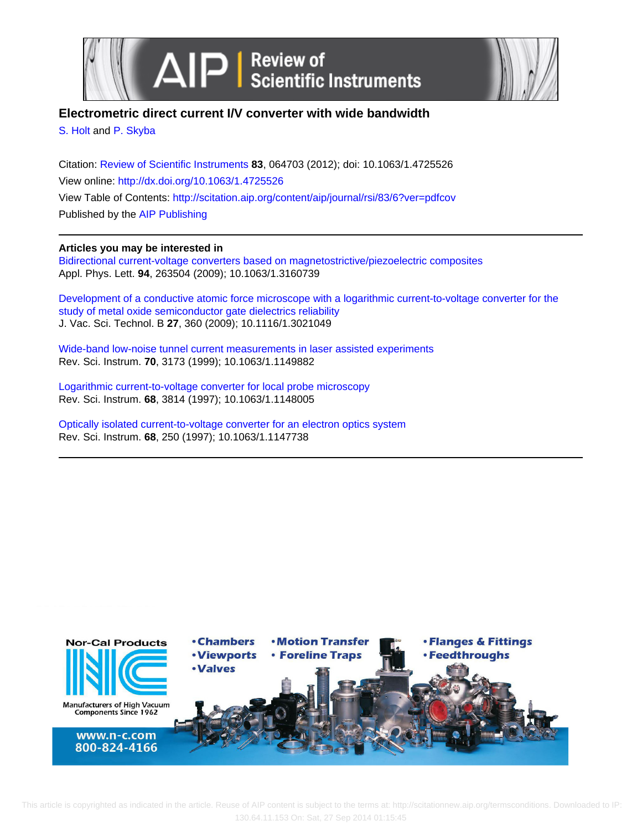



## **Electrometric direct current I/V converter with wide bandwidth**

[S. Holt](http://scitation.aip.org/search?value1=S.+Holt&option1=author) and [P. Skyba](http://scitation.aip.org/search?value1=P.+Skyba&option1=author)

Citation: [Review of Scientific Instruments](http://scitation.aip.org/content/aip/journal/rsi?ver=pdfcov) **83**, 064703 (2012); doi: 10.1063/1.4725526 View online: <http://dx.doi.org/10.1063/1.4725526> View Table of Contents: <http://scitation.aip.org/content/aip/journal/rsi/83/6?ver=pdfcov> Published by the [AIP Publishing](http://scitation.aip.org/content/aip?ver=pdfcov)

### **Articles you may be interested in**

[Bidirectional current-voltage converters based on magnetostrictive/piezoelectric composites](http://scitation.aip.org/content/aip/journal/apl/94/26/10.1063/1.3160739?ver=pdfcov) Appl. Phys. Lett. **94**, 263504 (2009); 10.1063/1.3160739

[Development of a conductive atomic force microscope with a logarithmic current-to-voltage converter for the](http://scitation.aip.org/content/avs/journal/jvstb/27/1/10.1116/1.3021049?ver=pdfcov) [study of metal oxide semiconductor gate dielectrics reliability](http://scitation.aip.org/content/avs/journal/jvstb/27/1/10.1116/1.3021049?ver=pdfcov) J. Vac. Sci. Technol. B **27**, 360 (2009); 10.1116/1.3021049

[Wide-band low-noise tunnel current measurements in laser assisted experiments](http://scitation.aip.org/content/aip/journal/rsi/70/7/10.1063/1.1149882?ver=pdfcov) Rev. Sci. Instrum. **70**, 3173 (1999); 10.1063/1.1149882

[Logarithmic current-to-voltage converter for local probe microscopy](http://scitation.aip.org/content/aip/journal/rsi/68/10/10.1063/1.1148005?ver=pdfcov) Rev. Sci. Instrum. **68**, 3814 (1997); 10.1063/1.1148005

[Optically isolated current-to-voltage converter for an electron optics system](http://scitation.aip.org/content/aip/journal/rsi/68/1/10.1063/1.1147738?ver=pdfcov) Rev. Sci. Instrum. **68**, 250 (1997); 10.1063/1.1147738



 This article is copyrighted as indicated in the article. Reuse of AIP content is subject to the terms at: http://scitationnew.aip.org/termsconditions. Downloaded to IP: 130.64.11.153 On: Sat, 27 Sep 2014 01:15:45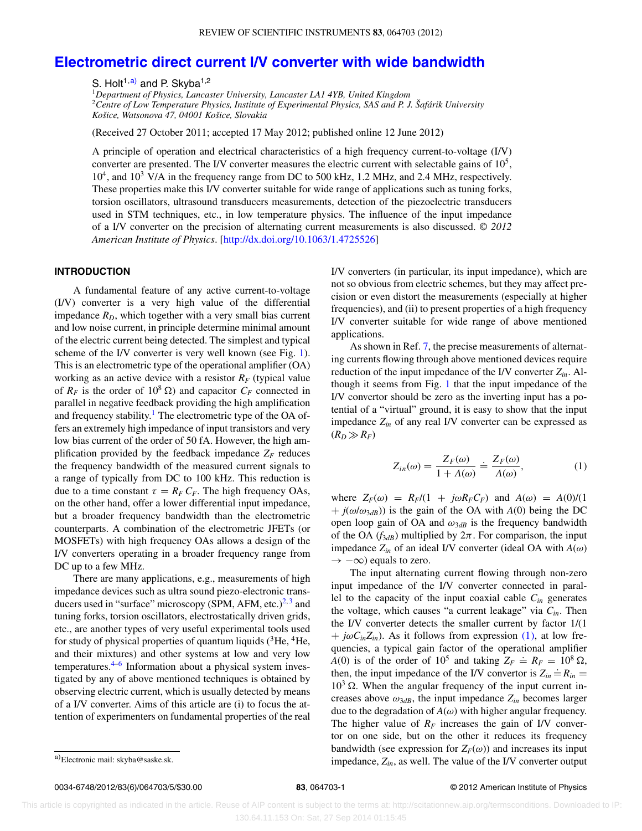# **[Electrometric direct current I/V converter with wide bandwidth](http://dx.doi.org/10.1063/1.4725526)**

S. Holt<sup>1[,a\)](#page-1-0)</sup> and P. Skyba<sup>1,2</sup>

<sup>1</sup>*Department of Physics, Lancaster University, Lancaster LA1 4YB, United Kingdom* <sup>2</sup>*Centre of Low Temperature Physics, Institute of Experimental Physics, SAS and P. J. Šafárik University Košice, Watsonova 47, 04001 Košice, Slovakia*

(Received 27 October 2011; accepted 17 May 2012; published online 12 June 2012)

A principle of operation and electrical characteristics of a high frequency current-to-voltage (I/V) converter are presented. The I/V converter measures the electric current with selectable gains of  $10<sup>5</sup>$ ,  $10<sup>4</sup>$ , and  $10<sup>3</sup>$  V/A in the frequency range from DC to 500 kHz, 1.2 MHz, and 2.4 MHz, respectively. These properties make this I/V converter suitable for wide range of applications such as tuning forks, torsion oscillators, ultrasound transducers measurements, detection of the piezoelectric transducers used in STM techniques, etc., in low temperature physics. The influence of the input impedance of a I/V converter on the precision of alternating current measurements is also discussed. *© 2012 American Institute of Physics*. [\[http://dx.doi.org/10.1063/1.4725526\]](http://dx.doi.org/10.1063/1.4725526)

#### **INTRODUCTION**

A fundamental feature of any active current-to-voltage (I/V) converter is a very high value of the differential impedance  $R_D$ , which together with a very small bias current and low noise current, in principle determine minimal amount of the electric current being detected. The simplest and typical scheme of the I/V converter is very well known (see Fig. [1\)](#page-2-0). This is an electrometric type of the operational amplifier (OA) working as an active device with a resistor  $R_F$  (typical value of  $R_F$  is the order of  $10^8 \Omega$ ) and capacitor  $C_F$  connected in parallel in negative feedback providing the high amplification and frequency stability.<sup>1</sup> The electrometric type of the OA offers an extremely high impedance of input transistors and very low bias current of the order of 50 fA. However, the high amplification provided by the feedback impedance  $Z_F$  reduces the frequency bandwidth of the measured current signals to a range of typically from DC to 100 kHz. This reduction is due to a time constant  $\tau = R_F C_F$ . The high frequency OAs, on the other hand, offer a lower differential input impedance, but a broader frequency bandwidth than the electrometric counterparts. A combination of the electrometric JFETs (or MOSFETs) with high frequency OAs allows a design of the I/V converters operating in a broader frequency range from DC up to a few MHz.

<span id="page-1-0"></span>There are many applications, e.g., measurements of high impedance devices such as ultra sound piezo-electronic transducers used in "surface" microscopy (SPM, AFM, etc.) $^{2,3}$  $^{2,3}$  $^{2,3}$  and tuning forks, torsion oscillators, electrostatically driven grids, etc., are another types of very useful experimental tools used for study of physical properties of quantum liquids  $(^{3}He, ^{4}He,$ and their mixtures) and other systems at low and very low temperatures.[4](#page-5-3)[–6](#page-5-4) Information about a physical system investigated by any of above mentioned techniques is obtained by observing electric current, which is usually detected by means of a I/V converter. Aims of this article are (i) to focus the attention of experimenters on fundamental properties of the real

I/V converters (in particular, its input impedance), which are not so obvious from electric schemes, but they may affect precision or even distort the measurements (especially at higher frequencies), and (ii) to present properties of a high frequency I/V converter suitable for wide range of above mentioned applications.

As shown in Ref. [7,](#page-5-5) the precise measurements of alternating currents flowing through above mentioned devices require reduction of the input impedance of the I/V converter *Zin*. Although it seems from Fig. [1](#page-2-0) that the input impedance of the I/V convertor should be zero as the inverting input has a potential of a "virtual" ground, it is easy to show that the input impedance *Zin* of any real I/V converter can be expressed as  $(R_D \gg R_F)$ 

<span id="page-1-1"></span>
$$
Z_{in}(\omega) = \frac{Z_F(\omega)}{1 + A(\omega)} \doteq \frac{Z_F(\omega)}{A(\omega)},
$$
\n(1)

where  $Z_F(\omega) = R_F/(1 + j\omega R_F C_F)$  and  $A(\omega) = A(0)/(1$  $+ j(\omega/\omega_{3dB})$ ) is the gain of the OA with *A*(0) being the DC open loop gain of OA and  $\omega_{3dB}$  is the frequency bandwidth of the OA  $(f_{3dB})$  multiplied by  $2\pi$ . For comparison, the input impedance *Zin* of an ideal I/V converter (ideal OA with *A*(*ω*)  $\rightarrow -\infty$ ) equals to zero.

The input alternating current flowing through non-zero input impedance of the I/V converter connected in parallel to the capacity of the input coaxial cable  $C_{in}$  generates the voltage, which causes "a current leakage" via  $C_{in}$ . Then the I/V converter detects the smaller current by factor 1/(1  $+ j\omega C_{in}Z_{in}$ ). As it follows from expression [\(1\),](#page-1-1) at low frequencies, a typical gain factor of the operational amplifier *A*(0) is of the order of  $10^5$  and taking  $Z_F \doteq R_F = 10^8 \Omega$ , then, the input impedance of the I/V convertor is  $Z_{in} = R_n =$  $10<sup>3</sup>$   $\Omega$ . When the angular frequency of the input current increases above  $\omega_{3dB}$ , the input impedance  $Z_{in}$  becomes larger due to the degradation of  $A(\omega)$  with higher angular frequency. The higher value of  $R_F$  increases the gain of I/V convertor on one side, but on the other it reduces its frequency bandwidth (see expression for  $Z_F(\omega)$ ) and increases its input impedance, *Zin*, as well. The value of the I/V converter output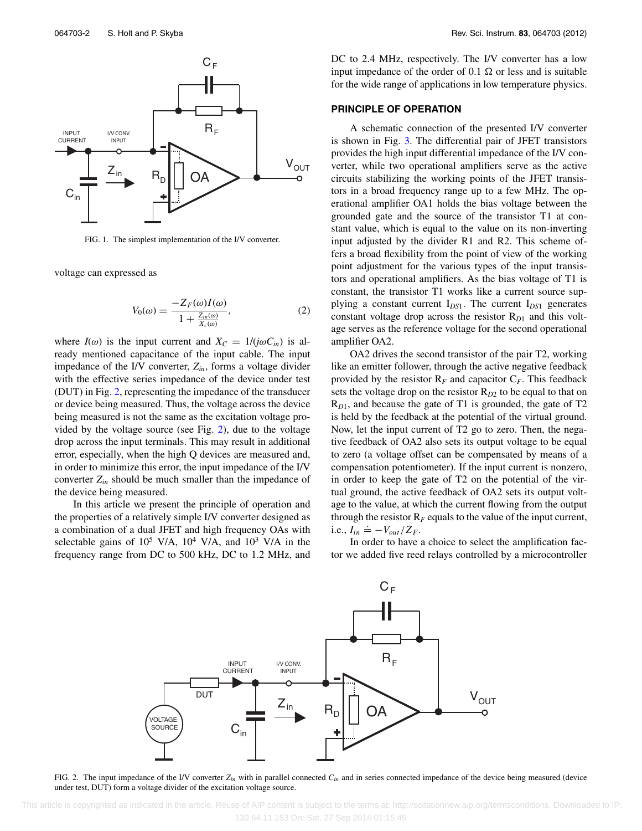<span id="page-2-0"></span>

FIG. 1. The simplest implementation of the I/V converter.

voltage can expressed as

$$
V_0(\omega) = \frac{-Z_F(\omega)I(\omega)}{1 + \frac{Z_{in}(\omega)}{X_c(\omega)}},\tag{2}
$$

where  $I(\omega)$  is the input current and  $X_C = 1/(j\omega C_{in})$  is already mentioned capacitance of the input cable. The input impedance of the I/V converter, *Zin*, forms a voltage divider with the effective series impedance of the device under test (DUT) in Fig. [2,](#page-2-1) representing the impedance of the transducer or device being measured. Thus, the voltage across the device being measured is not the same as the excitation voltage provided by the voltage source (see Fig. [2\)](#page-2-1), due to the voltage drop across the input terminals. This may result in additional error, especially, when the high Q devices are measured and, in order to minimize this error, the input impedance of the I/V converter  $Z_{in}$  should be much smaller than the impedance of the device being measured.

<span id="page-2-1"></span>In this article we present the principle of operation and the properties of a relatively simple I/V converter designed as a combination of a dual JFET and high frequency OAs with selectable gains of  $10^5$  V/A,  $10^4$  V/A, and  $10^3$  V/A in the frequency range from DC to 500 kHz, DC to 1.2 MHz, and

DC to 2.4 MHz, respectively. The I/V converter has a low input impedance of the order of  $0.1 \Omega$  or less and is suitable for the wide range of applications in low temperature physics.

#### **PRINCIPLE OF OPERATION**

A schematic connection of the presented I/V converter is shown in Fig. [3.](#page-3-0) The differential pair of JFET transistors provides the high input differential impedance of the I/V converter, while two operational amplifiers serve as the active circuits stabilizing the working points of the JFET transistors in a broad frequency range up to a few MHz. The operational amplifier OA1 holds the bias voltage between the grounded gate and the source of the transistor T1 at constant value, which is equal to the value on its non-inverting input adjusted by the divider R1 and R2. This scheme offers a broad flexibility from the point of view of the working point adjustment for the various types of the input transistors and operational amplifiers. As the bias voltage of T1 is constant, the transistor T1 works like a current source supplying a constant current I*DS*1. The current I*DS*<sup>1</sup> generates constant voltage drop across the resistor R<sub>D1</sub> and this voltage serves as the reference voltage for the second operational amplifier OA2.

OA2 drives the second transistor of the pair T2, working like an emitter follower, through the active negative feedback provided by the resistor  $R_F$  and capacitor  $C_F$ . This feedback sets the voltage drop on the resistor R<sub>D2</sub> to be equal to that on R*D*1, and because the gate of T1 is grounded, the gate of T2 is held by the feedback at the potential of the virtual ground. Now, let the input current of T2 go to zero. Then, the negative feedback of OA2 also sets its output voltage to be equal to zero (a voltage offset can be compensated by means of a compensation potentiometer). If the input current is nonzero, in order to keep the gate of T2 on the potential of the virtual ground, the active feedback of OA2 sets its output voltage to the value, at which the current flowing from the output through the resistor  $R_F$  equals to the value of the input current, i.e.,  $I_{in} \doteq -V_{out}/Z_F$ .

In order to have a choice to select the amplification factor we added five reed relays controlled by a microcontroller



FIG. 2. The input impedance of the I/V converter  $Z_{in}$  with in parallel connected  $C_{in}$  and in series connected impedance of the device being measured (device under test, DUT) form a voltage divider of the excitation voltage source.

 This article is copyrighted as indicated in the article. Reuse of AIP content is subject to the terms at: http://scitationnew.aip.org/termsconditions. Downloaded to IP: 130.64.11.153 On: Sat, 27 Sep 2014 01:15:45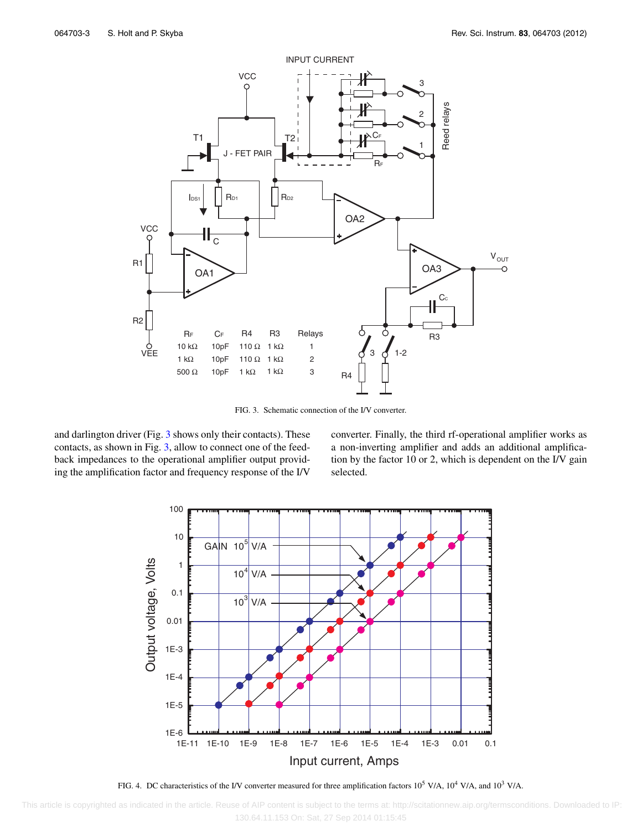<span id="page-3-0"></span>

FIG. 3. Schematic connection of the I/V converter.

<span id="page-3-1"></span>and darlington driver (Fig. [3](#page-3-0) shows only their contacts). These contacts, as shown in Fig. [3,](#page-3-0) allow to connect one of the feedback impedances to the operational amplifier output providing the amplification factor and frequency response of the I/V converter. Finally, the third rf-operational amplifier works as a non-inverting amplifier and adds an additional amplification by the factor 10 or 2, which is dependent on the I/V gain selected.



FIG. 4. DC characteristics of the I/V converter measured for three amplification factors  $10^5$  V/A,  $10^4$  V/A, and  $10^3$  V/A.

 This article is copyrighted as indicated in the article. Reuse of AIP content is subject to the terms at: http://scitationnew.aip.org/termsconditions. Downloaded to IP: 130.64.11.153 On: Sat, 27 Sep 2014 01:15:45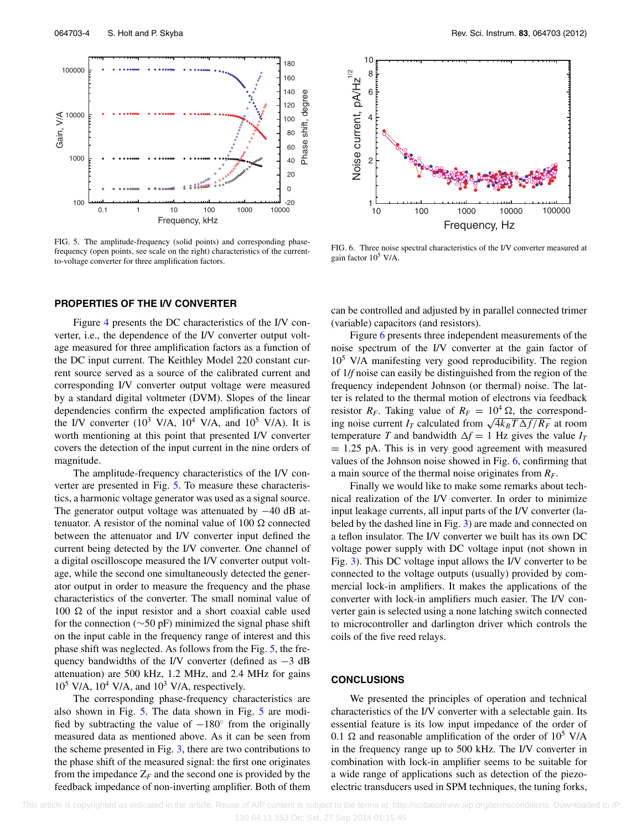<span id="page-4-0"></span>

FIG. 5. The amplitude-frequency (solid points) and corresponding phasefrequency (open points, see scale on the right) characteristics of the currentto-voltage converter for three amplification factors.

#### **PROPERTIES OF THE I/V CONVERTER**

Figure [4](#page-3-1) presents the DC characteristics of the I/V converter, i.e., the dependence of the I/V converter output voltage measured for three amplification factors as a function of the DC input current. The Keithley Model 220 constant current source served as a source of the calibrated current and corresponding I/V converter output voltage were measured by a standard digital voltmeter (DVM). Slopes of the linear dependencies confirm the expected amplification factors of the I/V converter  $(10^3 \text{ V/A}, 10^4 \text{ V/A}, \text{ and } 10^5 \text{ V/A})$ . It is worth mentioning at this point that presented I/V converter covers the detection of the input current in the nine orders of magnitude.

The amplitude-frequency characteristics of the I/V converter are presented in Fig. [5.](#page-4-0) To measure these characteristics, a harmonic voltage generator was used as a signal source. The generator output voltage was attenuated by −40 dB attenuator. A resistor of the nominal value of  $100 \Omega$  connected between the attenuator and I/V converter input defined the current being detected by the I/V converter. One channel of a digital oscilloscope measured the I/V converter output voltage, while the second one simultaneously detected the generator output in order to measure the frequency and the phase characteristics of the converter. The small nominal value of 100  $\Omega$  of the input resistor and a short coaxial cable used for the connection (∼50 pF) minimized the signal phase shift on the input cable in the frequency range of interest and this phase shift was neglected. As follows from the Fig. [5,](#page-4-0) the frequency bandwidths of the I/V converter (defined as  $-3$  dB attenuation) are 500 kHz, 1.2 MHz, and 2.4 MHz for gains  $10^5$  V/A,  $10^4$  V/A, and  $10^3$  V/A, respectively.

The corresponding phase-frequency characteristics are also shown in Fig. [5.](#page-4-0) The data shown in Fig. [5](#page-4-0) are modified by subtracting the value of  $-180°$  from the originally measured data as mentioned above. As it can be seen from the scheme presented in Fig. [3,](#page-3-0) there are two contributions to the phase shift of the measured signal: the first one originates from the impedance  $Z_F$  and the second one is provided by the feedback impedance of non-inverting amplifier. Both of them

<span id="page-4-1"></span>

FIG. 6. Three noise spectral characteristics of the I/V converter measured at gain factor 105 V/A.

can be controlled and adjusted by in parallel connected trimer (variable) capacitors (and resistors).

Figure [6](#page-4-1) presents three independent measurements of the noise spectrum of the I/V converter at the gain factor of  $10<sup>5</sup>$  V/A manifesting very good reproducibility. The region of 1/*f* noise can easily be distinguished from the region of the frequency independent Johnson (or thermal) noise. The latter is related to the thermal motion of electrons via feedback resistor  $R_F$ . Taking value of  $R_F = 10^4 \Omega$ , the corresponding noise current *I<sub>T</sub>* calculated from  $\sqrt{4k_BT\Delta f/R_F}$  at room temperature *T* and bandwidth  $\Delta f = 1$  Hz gives the value  $I_T$  $= 1.25$  pA. This is in very good agreement with measured values of the Johnson noise showed in Fig. [6,](#page-4-1) confirming that a main source of the thermal noise originates from *RF*.

Finally we would like to make some remarks about technical realization of the I/V converter. In order to minimize input leakage currents, all input parts of the I/V converter (labeled by the dashed line in Fig. [3\)](#page-3-0) are made and connected on a teflon insulator. The I/V converter we built has its own DC voltage power supply with DC voltage input (not shown in Fig. [3\)](#page-3-0). This DC voltage input allows the I/V converter to be connected to the voltage outputs (usually) provided by commercial lock-in amplifiers. It makes the applications of the converter with lock-in amplifiers much easier. The I/V converter gain is selected using a none latching switch connected to microcontroller and darlington driver which controls the coils of the five reed relays.

### **CONCLUSIONS**

We presented the principles of operation and technical characteristics of the I/V converter with a selectable gain. Its essential feature is its low input impedance of the order of 0.1  $\Omega$  and reasonable amplification of the order of 10<sup>5</sup> V/A in the frequency range up to 500 kHz. The I/V converter in combination with lock-in amplifier seems to be suitable for a wide range of applications such as detection of the piezoelectric transducers used in SPM techniques, the tuning forks,